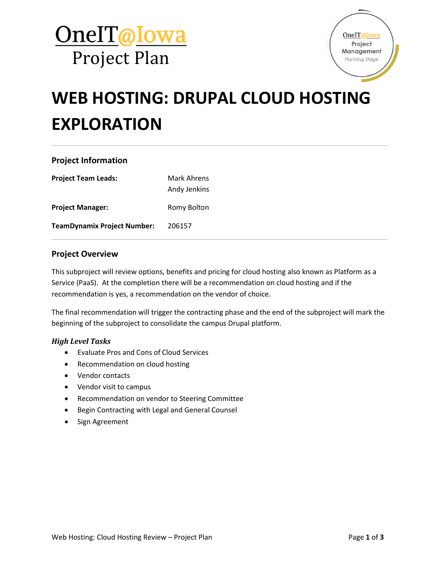



# **WEB HOSTING: DRUPAL CLOUD HOSTING EXPLORATION**

#### **Project Information**

| <b>Project Team Leads:</b>         | Mark Ahrens<br>Andy Jenkins |
|------------------------------------|-----------------------------|
| <b>Project Manager:</b>            | Romy Bolton                 |
| <b>TeamDynamix Project Number:</b> | 206157                      |

#### **Project Overview**

This subproject will review options, benefits and pricing for cloud hosting also known as Platform as a Service (PaaS). At the completion there will be a recommendation on cloud hosting and if the recommendation is yes, a recommendation on the vendor of choice.

The final recommendation will trigger the contracting phase and the end of the subproject will mark the beginning of the subproject to consolidate the campus Drupal platform.

#### *High Level Tasks*

- Evaluate Pros and Cons of Cloud Services
- Recommendation on cloud hosting
- Vendor contacts
- Vendor visit to campus
- Recommendation on vendor to Steering Committee
- Begin Contracting with Legal and General Counsel
- Sign Agreement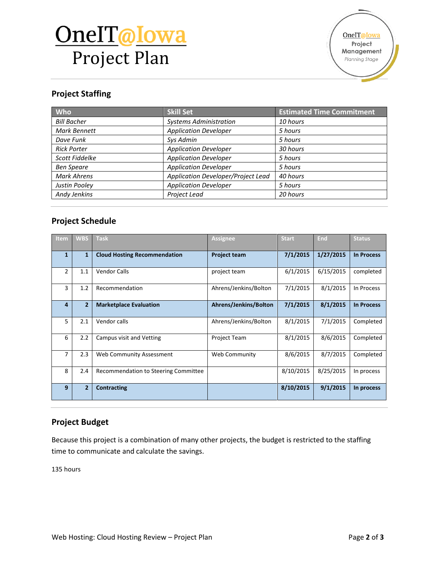# OneIT@Iowa Project Plan

#### **Project Staffing**

| Who                 | <b>Skill Set</b>                   | <b>Estimated Time Commitment</b> |
|---------------------|------------------------------------|----------------------------------|
| <b>Bill Bacher</b>  | <b>Systems Administration</b>      | 10 hours                         |
| <b>Mark Bennett</b> | <b>Application Developer</b>       | 5 hours                          |
| Dave Funk           | Sys Admin                          | 5 hours                          |
| <b>Rick Porter</b>  | <b>Application Developer</b>       | 30 hours                         |
| Scott Fiddelke      | <b>Application Developer</b>       | 5 hours                          |
| <b>Ben Speare</b>   | <b>Application Developer</b>       | 5 hours                          |
| Mark Ahrens         | Application Developer/Project Lead | 40 hours                         |
| Justin Pooley       | <b>Application Developer</b>       | 5 hours                          |
| Andy Jenkins        | Project Lead                       | 20 hours                         |

### **Project Schedule**

| Item           | <b>WBS</b>     | <b>Task</b>                          | <b>Assignee</b>       | <b>Start</b> | End       | <b>Status</b>     |
|----------------|----------------|--------------------------------------|-----------------------|--------------|-----------|-------------------|
| $\mathbf{1}$   | 1              | <b>Cloud Hosting Recommendation</b>  | <b>Project team</b>   | 7/1/2015     | 1/27/2015 | <b>In Process</b> |
| $\overline{2}$ | 1.1            | <b>Vendor Calls</b>                  | project team          | 6/1/2015     | 6/15/2015 | completed         |
| 3              | 1.2            | Recommendation                       | Ahrens/Jenkins/Bolton | 7/1/2015     | 8/1/2015  | In Process        |
| 4              | $\overline{2}$ | <b>Marketplace Evaluation</b>        | Ahrens/Jenkins/Bolton | 7/1/2015     | 8/1/2015  | <b>In Process</b> |
| 5              | 2.1            | Vendor calls                         | Ahrens/Jenkins/Bolton | 8/1/2015     | 7/1/2015  | Completed         |
| 6              | 2.2            | Campus visit and Vetting             | <b>Project Team</b>   | 8/1/2015     | 8/6/2015  | Completed         |
| 7              | 2.3            | Web Community Assessment             | Web Community         | 8/6/2015     | 8/7/2015  | Completed         |
| 8              | 2.4            | Recommendation to Steering Committee |                       | 8/10/2015    | 8/25/2015 | In process        |
| 9              | $\overline{2}$ | <b>Contracting</b>                   |                       | 8/10/2015    | 9/1/2015  | In process        |

### **Project Budget**

Because this project is a combination of many other projects, the budget is restricted to the staffing time to communicate and calculate the savings.

135 hours